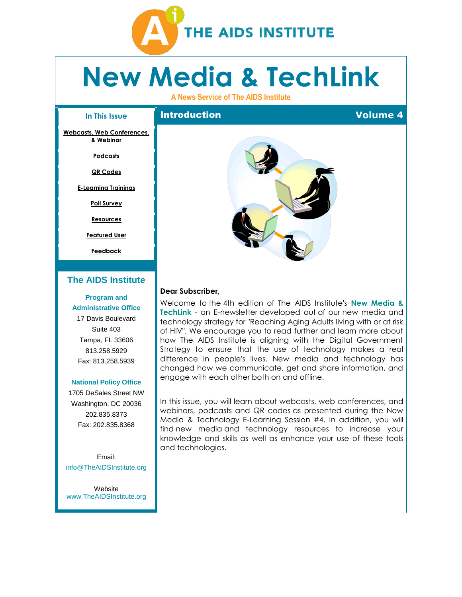

# **New Media & TechLink**

**A News Service of The AIDS Institute**

#### **In This Issue**

**Introduction Volume 4** 

**[Webcasts, Web Conferences,](#page-1-0)  [& Webinar](#page-1-0)**

**[Podcasts](#page-2-0)**

**[QR Codes](#page-3-0)**

**[E-Learning Trainings](#page-4-0)**

**[Poll Survey](#page-4-1)**

**[Resources](#page-4-2)**

**[Featured User](#page-4-3)**

**[Feedback](#page-5-0)**

#### **[The AIDS Institute](http://r20.rs6.net/tn.jsp?et=1109379879950&s=0&e=0013peMwM9_zJELiJM2uZEGXTH-06b5imtnFkQVa0T773Y-KUoSOFEfdPm79B1_8wrZI9U79vn1399lFQlY501WTN5OZUXOrv7Cr7NZWRrRiSX8Gvas74KY0viCP4UGIa7J)**

#### **[Program and](http://r20.rs6.net/tn.jsp?et=1109379879950&s=0&e=0013peMwM9_zJELiJM2uZEGXTH-06b5imtnFkQVa0T773Y-KUoSOFEfdPm79B1_8wrZI9U79vn1399lFQlY501WTN5OZUXOrv7Cr7NZWRrRiSX8Gvas74KY0viCP4UGIa7J)**

**Administrative Office** 17 Davis Boulevard Suite 403 Tampa, FL 33606 813.258.5929 Fax: 813.258.5939

#### **[National](http://r20.rs6.net/tn.jsp?et=1109379879950&s=0&e=0013peMwM9_zJELiJM2uZEGXTH-06b5imtnFkQVa0T773Y-KUoSOFEfdPm79B1_8wrZI9U79vn1399lFQlY501WTN5OZUXOrv7Cr7NZWRrRiSX8Gvas74KY0viCP4UGIa7J) Policy Office**

1705 DeSales Street NW Washington, DC 20036 202.835.8373 Fax: 202.835.8368

Email: [info@TheAIDSInstitute.org](mailto:info@TheAIDSInstitute.org)

**Website** [www.TheAIDSInstitute.org](http://r20.rs6.net/tn.jsp?et=1109379879950&s=0&e=0013peMwM9_zJELiJM2uZEGXTH-06b5imtnFkQVa0T773Y-KUoSOFEfdPm79B1_8wrZI9U79vn1399lFQlY501WTN5OZUXOrv7Cr7NZWRrRiSX8Gvas74KY0viCP4UGIa7J)



#### **Dear Subscriber,**

Welcome to the 4th edition of The AIDS Institute's **New Media & TechLink** - an E-newsletter developed out of our new media and technology strategy for "Reaching Aging Adults living with or at risk of HIV". We encourage you to read further and learn more about how The AIDS Institute is aligning with the Digital Government Strategy to ensure that the use of technology makes a real difference in people's lives. New media and technology has changed how we communicate, get and share information, and engage with each other both on and offline.

In this issue, you will learn about webcasts, web conferences, and webinars, podcasts and QR codes as presented during the New Media & Technology E-Learning Session #4. In addition, you will find new media and technology resources to increase your knowledge and skills as well as enhance your use of these tools and technologies.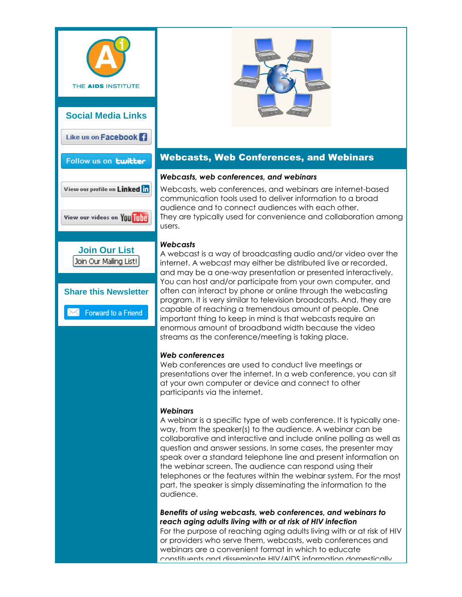



# <span id="page-1-0"></span>Webcasts, Web Conferences, and Webinars

### *Webcasts, web conferences, and webinars*

Webcasts, web conferences, and webinars are internet-based communication tools used to deliver information to a broad audience and to connect audiences with each other. They are typically used for convenience and collaboration among users.

## *Webcasts*

A webcast is a way of broadcasting audio and/or video over the internet. A webcast may either be distributed live or recorded, and may be a one-way presentation or presented interactively. You can host and/or participate from your own computer, and often can interact by phone or online through the webcasting program. It is very similar to television broadcasts. And, they are capable of reaching a tremendous amount of people. One important thing to keep in mind is that webcasts require an enormous amount of broadband width because the video streams as the conference/meeting is taking place.

## *Web conferences*

Web conferences are used to conduct live meetings or presentations over the internet. In a web conference, you can sit at your own computer or device and connect to other participants via the internet.

## *Webinars*

A webinar is a specific type of web conference. It is typically oneway, from the speaker(s) to the audience. A webinar can be collaborative and interactive and include online polling as well as question and answer sessions. In some cases, the presenter may speak over a standard telephone line and present information on the webinar screen. The audience can respond using their telephones or the features within the webinar system. For the most part, the speaker is simply disseminating the information to the audience.

*Benefits of using webcasts, web conferences, and webinars to reach aging adults living with or at risk of HIV infection*

For the purpose of reaching aging adults living with or at risk of HIV or providers who serve them, webcasts, web conferences and webinars are a convenient format in which to educate constituents and disseminate HIV/AIDS information domestically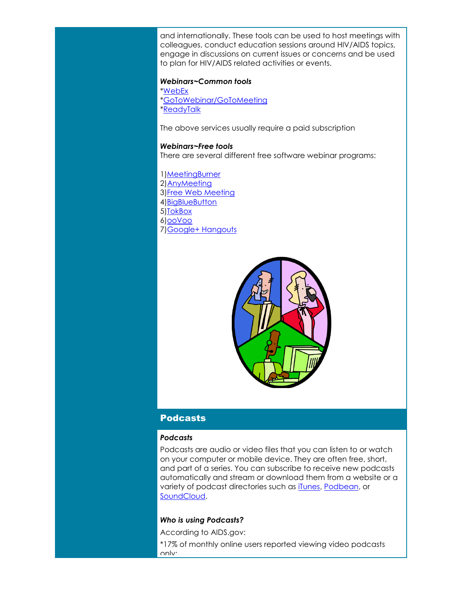and internationally. These tools can be used to host meetings with colleagues, conduct education sessions around HIV/AIDS topics, engage in discussions on current issues or concerns and be used to plan for HIV/AIDS related activities or events.

#### *Webinars~Common tools*

[\\*WebEx](http://r20.rs6.net/tn.jsp?t=n7g8hpoab.0.5xkw6qoab.8jy9x9dab.18492&ts=S0961&r=3&p=http%3A%2F%2Fwww.webex.com%2F%3Futm_source%3DThe%2BAIDS%2BInstitute%2527s%2BNew%2BMedia%2B%2526%2BTechLink%2BE-Newsletter-Volume%2B4%26utm_campaign%3DNewsletter%26utm_medium%3Demail) [\\*GoToWebinar/GoToMeeting](http://r20.rs6.net/tn.jsp?t=n7g8hpoab.0.4xkw6qoab.8jy9x9dab.18492&ts=S0961&r=3&p=http%3A%2F%2Fwww.gotomeeting.com%2Ffec%2Fwebinar%3Futm_source%3DThe%2BAIDS%2BInstitute%2527s%2BNew%2BMedia%2B%2526%2BTechLink%2BE-Newsletter-Volume%2B4%26utm_campaign%3DNewsletter%26utm_medium%3Demail) [\\*ReadyTalk](http://r20.rs6.net/tn.jsp?t=n7g8hpoab.0.aykw6qoab.8jy9x9dab.18492&ts=S0961&r=3&p=http%3A%2F%2Fwww.readytalk.com%2F%3Futm_source%3DThe%2BAIDS%2BInstitute%2527s%2BNew%2BMedia%2B%2526%2BTechLink%2BE-Newsletter-Volume%2B4%26utm_campaign%3DNewsletter%26utm_medium%3Demail)

The above services usually require a paid subscription

#### *Webinars~Free tools*

There are several different free software webinar programs:

1[\)MeetingBurner](http://r20.rs6.net/tn.jsp?t=n7g8hpoab.0.bykw6qoab.8jy9x9dab.18492&ts=S0961&r=3&p=https%3A%2F%2Fwww.meetingburner.com%2F%3Futm_source%3DThe%2BAIDS%2BInstitute%2527s%2BNew%2BMedia%2B%2526%2BTechLink%2BE-Newsletter-Volume%2B4%26utm_campaign%3DNewsletter%26utm_medium%3Demail) 2) AnyMeeting 3[\)Free Web Meeting](http://r20.rs6.net/tn.jsp?t=n7g8hpoab.0.dykw6qoab.8jy9x9dab.18492&ts=S0961&r=3&p=http%3A%2F%2Ffreewebmeeting.com%2F%3Futm_source%3DThe%2BAIDS%2BInstitute%2527s%2BNew%2BMedia%2B%2526%2BTechLink%2BE-Newsletter-Volume%2B4%26utm_campaign%3DNewsletter%26utm_medium%3Demail) 4[\)BigBlueButton](http://r20.rs6.net/tn.jsp?t=n7g8hpoab.0.eykw6qoab.8jy9x9dab.18492&ts=S0961&r=3&p=http%3A%2F%2Fwww.bigbluebutton.org%2F%3Futm_source%3DThe%2BAIDS%2BInstitute%2527s%2BNew%2BMedia%2B%2526%2BTechLink%2BE-Newsletter-Volume%2B4%26utm_campaign%3DNewsletter%26utm_medium%3Demail) 5[\)TokBox](http://r20.rs6.net/tn.jsp?t=n7g8hpoab.0.fykw6qoab.8jy9x9dab.18492&ts=S0961&r=3&p=http%3A%2F%2Ftokbox.com%2Fpricing%3Futm_source%3DThe%2BAIDS%2BInstitute%2527s%2BNew%2BMedia%2B%2526%2BTechLink%2BE-Newsletter-Volume%2B4%26utm_campaign%3DNewsletter%26utm_medium%3Demail) 6[\)ooVoo](http://r20.rs6.net/tn.jsp?t=n7g8hpoab.0.gykw6qoab.8jy9x9dab.18492&ts=S0961&r=3&p=http%3A%2F%2Fwww.oovoo.com%2Fhome.aspx%3Futm_source%3DThe%2BAIDS%2BInstitute%2527s%2BNew%2BMedia%2B%2526%2BTechLink%2BE-Newsletter-Volume%2B4%26utm_campaign%3DNewsletter%26utm_medium%3Demail) 7[\)Google+ Hangouts](http://r20.rs6.net/tn.jsp?t=n7g8hpoab.0.hykw6qoab.8jy9x9dab.18492&ts=S0961&r=3&p=https%3A%2F%2Fplus.google.com%2Fhangouts)



## <span id="page-2-0"></span>Podcasts

#### *Podcasts*

Podcasts are audio or video files that you can listen to or watch on your computer or mobile device. They are often free, short, and part of a series. You can subscribe to receive new podcasts automatically and stream or download them from a website or a variety of podcast directories such as [iTunes,](http://r20.rs6.net/tn.jsp?t=n7g8hpoab.0.iykw6qoab.8jy9x9dab.18492&ts=S0961&r=3&p=http%3A%2F%2Fwww.apple.com%2Fitunes%2F%3Futm_source%3DThe%2BAIDS%2BInstitute%2527s%2BNew%2BMedia%2B%2526%2BTechLink%2BE-Newsletter-Volume%2B4%26utm_campaign%3DNewsletter%26utm_medium%3Demail) [Podbean,](http://r20.rs6.net/tn.jsp?t=n7g8hpoab.0.jykw6qoab.8jy9x9dab.18492&ts=S0961&r=3&p=http%3A%2F%2Fwww.podbean.com%2F%3Futm_source%3DThe%2BAIDS%2BInstitute%2527s%2BNew%2BMedia%2B%2526%2BTechLink%2BE-Newsletter-Volume%2B4%26utm_campaign%3DNewsletter%26utm_medium%3Demail) or [SoundCloud.](http://r20.rs6.net/tn.jsp?t=n7g8hpoab.0.kykw6qoab.8jy9x9dab.18492&ts=S0961&r=3&p=https%3A%2F%2Fsoundcloud.com%2F%3Futm_source%3DThe%2BAIDS%2BInstitute%2527s%2BNew%2BMedia%2B%2526%2BTechLink%2BE-Newsletter-Volume%2B4%26utm_campaign%3DNewsletter%26utm_medium%3Demail)

#### *Who is using Podcasts?*

According to AIDS.gov:

\*17% of monthly online users reported viewing video podcasts only;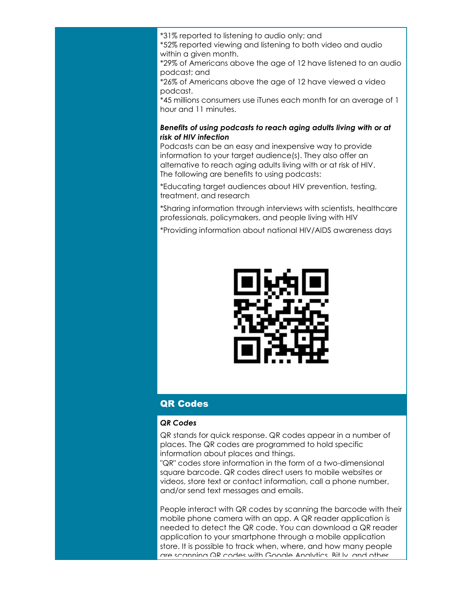\*31% reported to listening to audio only; and

\*52% reported viewing and listening to both video and audio within a given month.

\*29% of Americans above the age of 12 have listened to an audio podcast; and

\*26% of Americans above the age of 12 have viewed a video podcast.

\*45 millions consumers use iTunes each month for an average of 1 hour and 11 minutes.

#### *Benefits of using podcasts to reach aging adults living with or at risk of HIV infection*

Podcasts can be an easy and inexpensive way to provide information to your target audience(s). They also offer an alternative to reach aging adults living with or at risk of HIV. The following are benefits to using podcasts:

\*Educating target audiences about HIV prevention, testing, treatment, and research

\*Sharing information through interviews with scientists, healthcare professionals, policymakers, and people living with HIV

\*Providing information about national HIV/AIDS awareness days



# <span id="page-3-0"></span>QR Codes

#### *QR Codes*

QR stands for quick response. QR codes appear in a number of places. The QR codes are programmed to hold specific information about places and things.

"QR" codes store information in the form of a two-dimensional square barcode. QR codes direct users to mobile websites or videos, store text or contact information, call a phone number, and/or send text messages and emails.

People interact with QR codes by scanning the barcode with their mobile phone camera with an app. A QR reader application is needed to detect the QR code. You can download a QR reader application to your smartphone through a mobile application store. It is possible to track when, where, and how many people are scanning QR codes with Google Analytics, Bit.ly, and other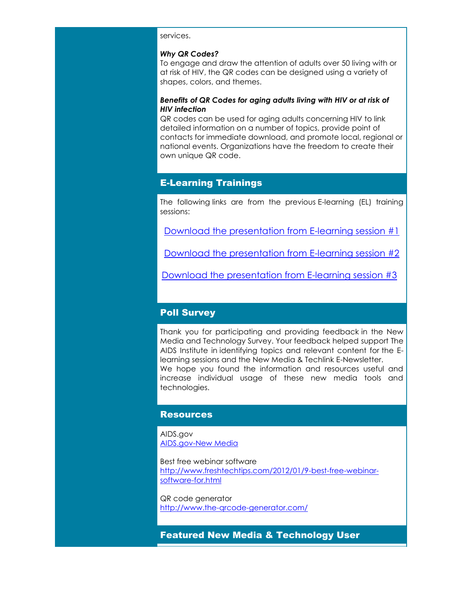#### services.

#### *Why QR Codes?*

To engage and draw the attention of adults over 50 living with or at risk of HIV, the QR codes can be designed using a variety of shapes, colors, and themes.

#### *Benefits of QR Codes for aging adults living with HIV or at risk of HIV infection*

QR codes can be used for aging adults concerning HIV to link detailed information on a number of topics, provide point of contacts for immediate download, and promote local, regional or national events. Organizations have the freedom to create their own unique QR code.

# <span id="page-4-0"></span>E-Learning Trainings

The following links are from the previous E-learning (EL) training sessions:

[Download the presentation from E-learning session #1](http://r20.rs6.net/tn.jsp?t=n7g8hpoab.0.lykw6qoab.8jy9x9dab.18492&ts=S0961&r=3&p=http%3A%2F%2Fwww.theaidsinstitute.org%2Fsites%2Fdefault%2Ffiles%2Fattachments%2FThe%2520AIDS%2520Institute%2520New%2520Media%2520Tech%2520E%2520learning%2520Session%25201.pdf%3Futm_source%3DThe%2BAIDS%2BInstitute%2527s%2BNew%2BMedia%2B%2526%2BTechLink%2BE-Newsletter-Volume%2B4%26utm_campaign%3DNewsletter%26utm_medium%3Demail)

[Download the presentation from E-learning session #2](http://r20.rs6.net/tn.jsp?t=n7g8hpoab.0.mykw6qoab.8jy9x9dab.18492&ts=S0961&r=3&p=http%3A%2F%2Fwww.theaidsinstitute.org%2Fsites%2Fdefault%2Ffiles%2Fattachments%2FThe%2520AIDS%2520Institute%2520New%2520Media%2520Tech%2520E%2520learning%2520Session%25202.pdf%3Futm_source%3DThe%2BAIDS%2BInstitute%2527s%2BNew%2BMedia%2B%2526%2BTechLink%2BE-Newsletter-Volume%2B4%26utm_campaign%3DNewsletter%26utm_medium%3Demail)

[Download the presentation from E-learning session #3](http://r20.rs6.net/tn.jsp?t=n7g8hpoab.0.nykw6qoab.8jy9x9dab.18492&ts=S0961&r=3&p=http%3A%2F%2Fwww.theaidsinstitute.org%2Fsites%2Fdefault%2Ffiles%2Fattachments%2FThe%2520AIDS%2520Institute%2520New%2520Media%2520%2520Tech%2520E-learning%2520Session%25203-9%252019%252013.pdf%3Futm_source%3DThe%2BAIDS%2BInstitute%2527s%2BNew%2BMedia%2B%2526%2BTechLink%2BE-Newsletter-Volume%2B4%26utm_campaign%3DNewsletter%26utm_medium%3Demail) 

# <span id="page-4-1"></span>Poll Survey

Thank you for participating and providing feedback in the New Media and Technology Survey. Your feedback helped support The AIDS Institute in identifying topics and relevant content for the Elearning sessions and the New Media & Techlink E-Newsletter. We hope you found the information and resources useful and increase individual usage of these new media tools and technologies.

### <span id="page-4-2"></span>**Resources**

AIDS.gov [AIDS.gov-New Media](http://r20.rs6.net/tn.jsp?t=n7g8hpoab.0.robmyqoab.8jy9x9dab.18492&ts=S0961&r=3&p=http%3A%2F%2Fwww.aids.gov%2Fusing-new-media%2F%3Futm_source%3DThe%2BAIDS%2BInstitute%2527s%2BNew%2BMedia%2B%2526%2BTechLink%2BE-Newsletter-Volume%2B4%26utm_campaign%3DNewsletter%26utm_medium%3Demail)

Best free webinar software [http://www.freshtechtips.com/2012/01/9-best-free-webinar](http://r20.rs6.net/tn.jsp?t=n7g8hpoab.0.oykw6qoab.8jy9x9dab.18492&ts=S0961&r=3&p=http%3A%2F%2Fwww.freshtechtips.com%2F2012%2F01%2F9-best-free-webinar-software-for.html%3Futm_source%3DThe%2BAIDS%2BInstitute%2527s%2BNew%2BMedia%2B%2526%2BTechLink%2BE-Newsletter-Volume%2B4%26utm_campaign%3DNewsletter%26utm_medium%3Demail)[software-for.html](http://r20.rs6.net/tn.jsp?t=n7g8hpoab.0.oykw6qoab.8jy9x9dab.18492&ts=S0961&r=3&p=http%3A%2F%2Fwww.freshtechtips.com%2F2012%2F01%2F9-best-free-webinar-software-for.html%3Futm_source%3DThe%2BAIDS%2BInstitute%2527s%2BNew%2BMedia%2B%2526%2BTechLink%2BE-Newsletter-Volume%2B4%26utm_campaign%3DNewsletter%26utm_medium%3Demail)

QR code generator [http://www.the-qrcode-generator.com/](http://r20.rs6.net/tn.jsp?t=n7g8hpoab.0.pykw6qoab.8jy9x9dab.18492&ts=S0961&r=3&p=http%3A%2F%2Fwww.the-qrcode-generator.com%2F%3Futm_source%3DThe%2BAIDS%2BInstitute%2527s%2BNew%2BMedia%2B%2526%2BTechLink%2BE-Newsletter-Volume%2B4%26utm_campaign%3DNewsletter%26utm_medium%3Demail)

<span id="page-4-3"></span>Featured New Media & Technology User